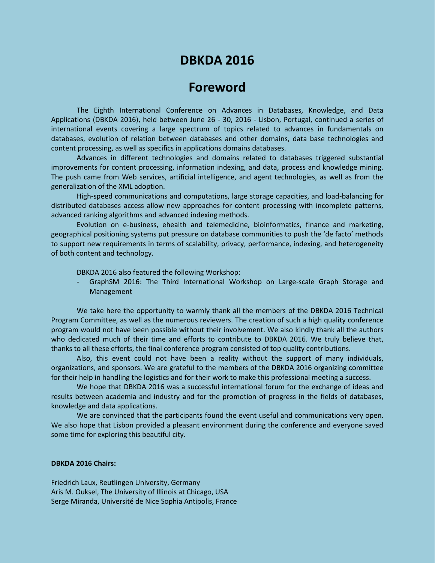## **DBKDA 2016**

## **Foreword**

The Eighth International Conference on Advances in Databases, Knowledge, and Data Applications (DBKDA 2016), held between June 26 - 30, 2016 - Lisbon, Portugal, continued a series of international events covering a large spectrum of topics related to advances in fundamentals on databases, evolution of relation between databases and other domains, data base technologies and content processing, as well as specifics in applications domains databases.

Advances in different technologies and domains related to databases triggered substantial improvements for content processing, information indexing, and data, process and knowledge mining. The push came from Web services, artificial intelligence, and agent technologies, as well as from the generalization of the XML adoption.

High-speed communications and computations, large storage capacities, and load-balancing for distributed databases access allow new approaches for content processing with incomplete patterns, advanced ranking algorithms and advanced indexing methods.

Evolution on e-business, ehealth and telemedicine, bioinformatics, finance and marketing, geographical positioning systems put pressure on database communities to push the 'de facto' methods to support new requirements in terms of scalability, privacy, performance, indexing, and heterogeneity of both content and technology.

DBKDA 2016 also featured the following Workshop:

- GraphSM 2016: The Third International Workshop on Large-scale Graph Storage and Management

We take here the opportunity to warmly thank all the members of the DBKDA 2016 Technical Program Committee, as well as the numerous reviewers. The creation of such a high quality conference program would not have been possible without their involvement. We also kindly thank all the authors who dedicated much of their time and efforts to contribute to DBKDA 2016. We truly believe that, thanks to all these efforts, the final conference program consisted of top quality contributions.

Also, this event could not have been a reality without the support of many individuals, organizations, and sponsors. We are grateful to the members of the DBKDA 2016 organizing committee for their help in handling the logistics and for their work to make this professional meeting a success.

We hope that DBKDA 2016 was a successful international forum for the exchange of ideas and results between academia and industry and for the promotion of progress in the fields of databases, knowledge and data applications.

We are convinced that the participants found the event useful and communications very open. We also hope that Lisbon provided a pleasant environment during the conference and everyone saved some time for exploring this beautiful city.

## **DBKDA 2016 Chairs:**

Friedrich Laux, Reutlingen University, Germany Aris M. Ouksel, The University of Illinois at Chicago, USA Serge Miranda, Université de Nice Sophia Antipolis, France